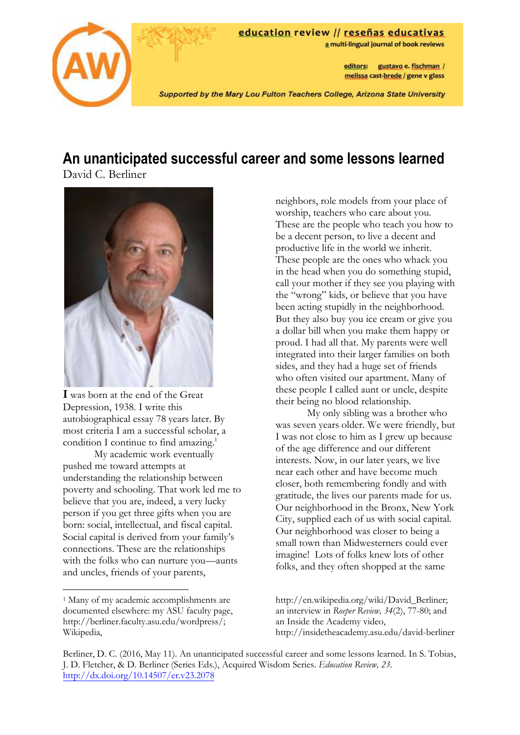

# **An unanticipated successful career and some lessons learned**

David C. Berliner



**I** was born at the end of the Great Depression, 1938. I write this autobiographical essay 78 years later. By most criteria I am a successful scholar, a condition I continue to find amazing.<sup>1</sup>

My academic work eventually pushed me toward attempts at understanding the relationship between poverty and schooling. That work led me to believe that you are, indeed, a very lucky person if you get three gifts when you are born: social, intellectual, and fiscal capital. Social capital is derived from your family's connections. These are the relationships with the folks who can nurture you—aunts and uncles, friends of your parents,

neighbors, role models from your place of worship, teachers who care about you. These are the people who teach you how to be a decent person, to live a decent and productive life in the world we inherit. These people are the ones who whack you in the head when you do something stupid, call your mother if they see you playing with the "wrong" kids, or believe that you have been acting stupidly in the neighborhood. But they also buy you ice cream or give you a dollar bill when you make them happy or proud. I had all that. My parents were well integrated into their larger families on both sides, and they had a huge set of friends who often visited our apartment. Many of these people I called aunt or uncle, despite their being no blood relationship.

My only sibling was a brother who was seven years older. We were friendly, but I was not close to him as I grew up because of the age difference and our different interests. Now, in our later years, we live near each other and have become much closer, both remembering fondly and with gratitude, the lives our parents made for us. Our neighborhood in the Bronx, New York City, supplied each of us with social capital. Our neighborhood was closer to being a small town than Midwesterners could ever imagine! Lots of folks knew lots of other folks, and they often shopped at the same

http://en.wikipedia.org/wiki/David\_Berliner; an interview in *Roeper Review, 34*(2), 77-80; and an Inside the Academy video, http://insidetheacademy.asu.edu/david-berliner

Berliner, D. C. (2016, May 11). An unanticipated successful career and some lessons learned. In S. Tobias, J. D. Fletcher, & D. Berliner (Series Eds.), Acquired Wisdom Series. *Education Review, 23*. <http://dx.doi.org/10.14507/er.v23.2078>

<sup>1</sup> Many of my academic accomplishments are documented elsewhere: my ASU faculty page, http://berliner.faculty.asu.edu/wordpress/; Wikipedia,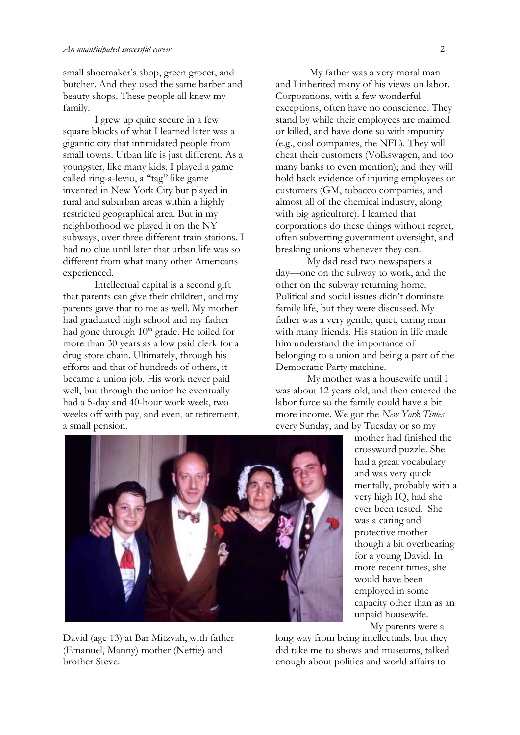small shoemaker's shop, green grocer, and butcher. And they used the same barber and beauty shops. These people all knew my family.

I grew up quite secure in a few square blocks of what I learned later was a gigantic city that intimidated people from small towns. Urban life is just different. As a youngster, like many kids, I played a game called ring-a-levio, a "tag" like game invented in New York City but played in rural and suburban areas within a highly restricted geographical area. But in my neighborhood we played it on the NY subways, over three different train stations. I had no clue until later that urban life was so different from what many other Americans experienced.

Intellectual capital is a second gift that parents can give their children, and my parents gave that to me as well. My mother had graduated high school and my father had gone through 10<sup>th</sup> grade. He toiled for more than 30 years as a low paid clerk for a drug store chain. Ultimately, through his efforts and that of hundreds of others, it became a union job. His work never paid well, but through the union he eventually had a 5-day and 40-hour work week, two weeks off with pay, and even, at retirement, a small pension.

My father was a very moral man and I inherited many of his views on labor. Corporations, with a few wonderful exceptions, often have no conscience. They stand by while their employees are maimed or killed, and have done so with impunity (e.g., coal companies, the NFL). They will cheat their customers (Volkswagen, and too many banks to even mention); and they will hold back evidence of injuring employees or customers (GM, tobacco companies, and almost all of the chemical industry, along with big agriculture). I learned that corporations do these things without regret, often subverting government oversight, and breaking unions whenever they can.

My dad read two newspapers a day—one on the subway to work, and the other on the subway returning home. Political and social issues didn't dominate family life, but they were discussed. My father was a very gentle, quiet, caring man with many friends. His station in life made him understand the importance of belonging to a union and being a part of the Democratic Party machine.

My mother was a housewife until I was about 12 years old, and then entered the labor force so the family could have a bit more income. We got the *New York Times* every Sunday, and by Tuesday or so my



David (age 13) at Bar Mitzvah, with father (Emanuel, Manny) mother (Nettie) and brother Steve.

mother had finished the crossword puzzle. She had a great vocabulary and was very quick mentally, probably with a very high IQ, had she ever been tested. She was a caring and protective mother though a bit overbearing for a young David. In more recent times, she would have been employed in some capacity other than as an unpaid housewife.

My parents were a

long way from being intellectuals, but they did take me to shows and museums, talked enough about politics and world affairs to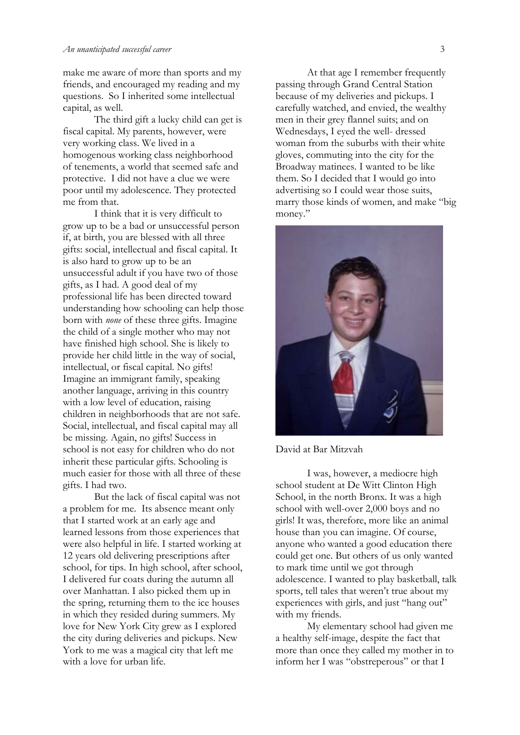#### *An unanticipated successful career* 3

make me aware of more than sports and my friends, and encouraged my reading and my questions. So I inherited some intellectual capital, as well.

The third gift a lucky child can get is fiscal capital. My parents, however, were very working class. We lived in a homogenous working class neighborhood of tenements, a world that seemed safe and protective. I did not have a clue we were poor until my adolescence. They protected me from that.

I think that it is very difficult to grow up to be a bad or unsuccessful person if, at birth, you are blessed with all three gifts: social, intellectual and fiscal capital. It is also hard to grow up to be an unsuccessful adult if you have two of those gifts, as I had. A good deal of my professional life has been directed toward understanding how schooling can help those born with *none* of these three gifts. Imagine the child of a single mother who may not have finished high school. She is likely to provide her child little in the way of social, intellectual, or fiscal capital. No gifts! Imagine an immigrant family, speaking another language, arriving in this country with a low level of education, raising children in neighborhoods that are not safe. Social, intellectual, and fiscal capital may all be missing. Again, no gifts! Success in school is not easy for children who do not inherit these particular gifts. Schooling is much easier for those with all three of these gifts. I had two.

But the lack of fiscal capital was not a problem for me. Its absence meant only that I started work at an early age and learned lessons from those experiences that were also helpful in life. I started working at 12 years old delivering prescriptions after school, for tips. In high school, after school, I delivered fur coats during the autumn all over Manhattan. I also picked them up in the spring, returning them to the ice houses in which they resided during summers. My love for New York City grew as I explored the city during deliveries and pickups. New York to me was a magical city that left me with a love for urban life.

At that age I remember frequently passing through Grand Central Station because of my deliveries and pickups. I carefully watched, and envied, the wealthy men in their grey flannel suits; and on Wednesdays, I eyed the well- dressed woman from the suburbs with their white gloves, commuting into the city for the Broadway matinees. I wanted to be like them. So I decided that I would go into advertising so I could wear those suits, marry those kinds of women, and make "big money."



David at Bar Mitzvah

I was, however, a mediocre high school student at De Witt Clinton High School, in the north Bronx. It was a high school with well-over 2,000 boys and no girls! It was, therefore, more like an animal house than you can imagine. Of course, anyone who wanted a good education there could get one. But others of us only wanted to mark time until we got through adolescence. I wanted to play basketball, talk sports, tell tales that weren't true about my experiences with girls, and just "hang out" with my friends.

My elementary school had given me a healthy self-image, despite the fact that more than once they called my mother in to inform her I was "obstreperous" or that I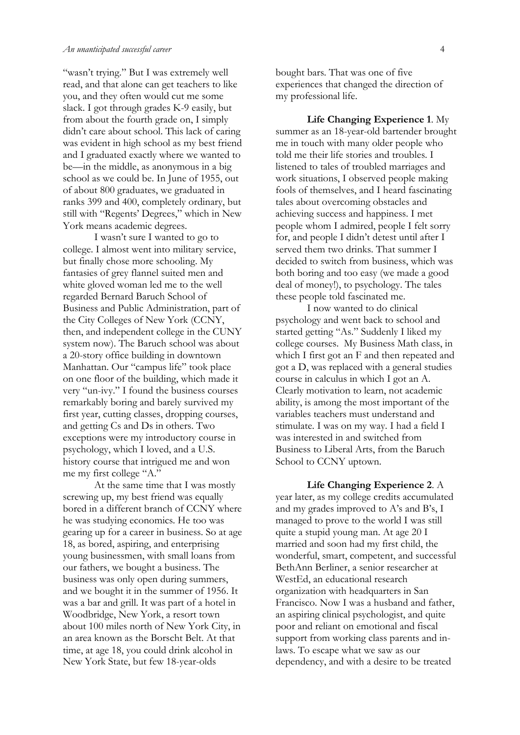"wasn't trying." But I was extremely well read, and that alone can get teachers to like you, and they often would cut me some slack. I got through grades K-9 easily, but from about the fourth grade on, I simply didn't care about school. This lack of caring was evident in high school as my best friend and I graduated exactly where we wanted to be—in the middle, as anonymous in a big school as we could be. In June of 1955, out of about 800 graduates, we graduated in ranks 399 and 400, completely ordinary, but still with "Regents' Degrees," which in New York means academic degrees.

I wasn't sure I wanted to go to college. I almost went into military service, but finally chose more schooling. My fantasies of grey flannel suited men and white gloved woman led me to the well regarded Bernard Baruch School of Business and Public Administration, part of the City Colleges of New York (CCNY, then, and independent college in the CUNY system now). The Baruch school was about a 20-story office building in downtown Manhattan. Our "campus life" took place on one floor of the building, which made it very "un-ivy." I found the business courses remarkably boring and barely survived my first year, cutting classes, dropping courses, and getting Cs and Ds in others. Two exceptions were my introductory course in psychology, which I loved, and a U.S. history course that intrigued me and won me my first college "A."

At the same time that I was mostly screwing up, my best friend was equally bored in a different branch of CCNY where he was studying economics. He too was gearing up for a career in business. So at age 18, as bored, aspiring, and enterprising young businessmen, with small loans from our fathers, we bought a business. The business was only open during summers, and we bought it in the summer of 1956. It was a bar and grill. It was part of a hotel in Woodbridge, New York, a resort town about 100 miles north of New York City, in an area known as the Borscht Belt. At that time, at age 18, you could drink alcohol in New York State, but few 18-year-olds

bought bars. That was one of five experiences that changed the direction of my professional life.

**Life Changing Experience 1**. My summer as an 18-year-old bartender brought me in touch with many older people who told me their life stories and troubles. I listened to tales of troubled marriages and work situations, I observed people making fools of themselves, and I heard fascinating tales about overcoming obstacles and achieving success and happiness. I met people whom I admired, people I felt sorry for, and people I didn't detest until after I served them two drinks. That summer I decided to switch from business, which was both boring and too easy (we made a good deal of money!), to psychology. The tales these people told fascinated me.

I now wanted to do clinical psychology and went back to school and started getting "As." Suddenly I liked my college courses. My Business Math class, in which I first got an F and then repeated and got a D, was replaced with a general studies course in calculus in which I got an A. Clearly motivation to learn, not academic ability, is among the most important of the variables teachers must understand and stimulate. I was on my way. I had a field I was interested in and switched from Business to Liberal Arts, from the Baruch School to CCNY uptown.

**Life Changing Experience 2**. A year later, as my college credits accumulated and my grades improved to A's and B's, I managed to prove to the world I was still quite a stupid young man. At age 20 I married and soon had my first child, the wonderful, smart, competent, and successful BethAnn Berliner, a senior researcher at WestEd, an educational research organization with headquarters in San Francisco. Now I was a husband and father, an aspiring clinical psychologist, and quite poor and reliant on emotional and fiscal support from working class parents and inlaws. To escape what we saw as our dependency, and with a desire to be treated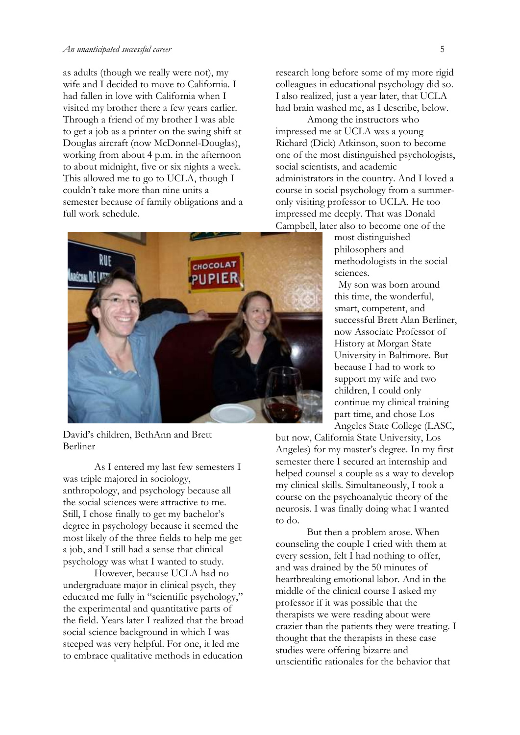as adults (though we really were not), my wife and I decided to move to California. I had fallen in love with California when I visited my brother there a few years earlier. Through a friend of my brother I was able to get a job as a printer on the swing shift at Douglas aircraft (now McDonnel-Douglas), working from about 4 p.m. in the afternoon to about midnight, five or six nights a week. This allowed me to go to UCLA, though I couldn't take more than nine units a semester because of family obligations and a full work schedule.



David's children, BethAnn and Brett Berliner

As I entered my last few semesters I was triple majored in sociology, anthropology, and psychology because all the social sciences were attractive to me. Still, I chose finally to get my bachelor's degree in psychology because it seemed the most likely of the three fields to help me get a job, and I still had a sense that clinical psychology was what I wanted to study.

However, because UCLA had no undergraduate major in clinical psych, they educated me fully in "scientific psychology," the experimental and quantitative parts of the field. Years later I realized that the broad social science background in which I was steeped was very helpful. For one, it led me to embrace qualitative methods in education

research long before some of my more rigid colleagues in educational psychology did so. I also realized, just a year later, that UCLA had brain washed me, as I describe, below.

Among the instructors who impressed me at UCLA was a young Richard (Dick) Atkinson, soon to become one of the most distinguished psychologists, social scientists, and academic administrators in the country. And I loved a course in social psychology from a summeronly visiting professor to UCLA. He too impressed me deeply. That was Donald Campbell, later also to become one of the

> most distinguished philosophers and methodologists in the social sciences.

 My son was born around this time, the wonderful, smart, competent, and successful Brett Alan Berliner, now Associate Professor of History at Morgan State University in Baltimore. But because I had to work to support my wife and two children, I could only continue my clinical training part time, and chose Los Angeles State College (LASC,

but now, California State University, Los Angeles) for my master's degree. In my first semester there I secured an internship and helped counsel a couple as a way to develop my clinical skills. Simultaneously, I took a course on the psychoanalytic theory of the neurosis. I was finally doing what I wanted to do.

But then a problem arose. When counseling the couple I cried with them at every session, felt I had nothing to offer, and was drained by the 50 minutes of heartbreaking emotional labor. And in the middle of the clinical course I asked my professor if it was possible that the therapists we were reading about were crazier than the patients they were treating. I thought that the therapists in these case studies were offering bizarre and unscientific rationales for the behavior that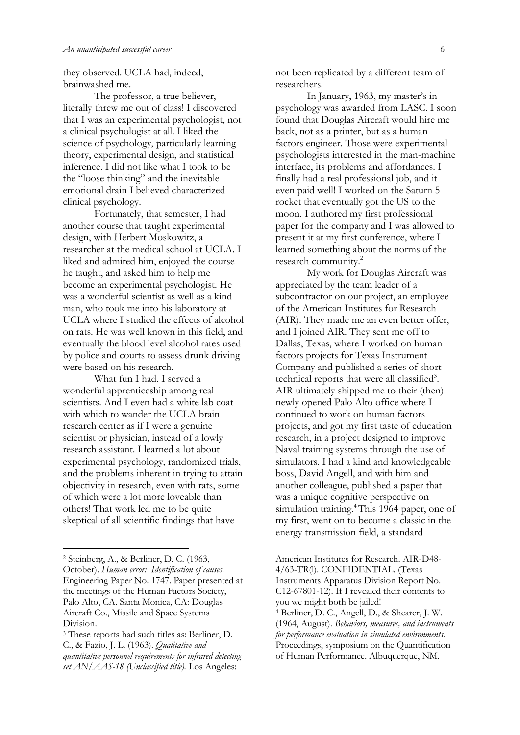they observed. UCLA had, indeed, brainwashed me.

The professor, a true believer, literally threw me out of class! I discovered that I was an experimental psychologist, not a clinical psychologist at all. I liked the science of psychology, particularly learning theory, experimental design, and statistical inference. I did not like what I took to be the "loose thinking" and the inevitable emotional drain I believed characterized clinical psychology.

Fortunately, that semester, I had another course that taught experimental design, with Herbert Moskowitz, a researcher at the medical school at UCLA. I liked and admired him, enjoyed the course he taught, and asked him to help me become an experimental psychologist. He was a wonderful scientist as well as a kind man, who took me into his laboratory at UCLA where I studied the effects of alcohol on rats. He was well known in this field, and eventually the blood level alcohol rates used by police and courts to assess drunk driving were based on his research.

What fun I had. I served a wonderful apprenticeship among real scientists. And I even had a white lab coat with which to wander the UCLA brain research center as if I were a genuine scientist or physician, instead of a lowly research assistant. I learned a lot about experimental psychology, randomized trials, and the problems inherent in trying to attain objectivity in research, even with rats, some of which were a lot more loveable than others! That work led me to be quite skeptical of all scientific findings that have

1

not been replicated by a different team of researchers.

In January, 1963, my master's in psychology was awarded from LASC. I soon found that Douglas Aircraft would hire me back, not as a printer, but as a human factors engineer. Those were experimental psychologists interested in the man-machine interface, its problems and affordances. I finally had a real professional job, and it even paid well! I worked on the Saturn 5 rocket that eventually got the US to the moon. I authored my first professional paper for the company and I was allowed to present it at my first conference, where I learned something about the norms of the research community.<sup>2</sup>

My work for Douglas Aircraft was appreciated by the team leader of a subcontractor on our project, an employee of the American Institutes for Research (AIR). They made me an even better offer, and I joined AIR. They sent me off to Dallas, Texas, where I worked on human factors projects for Texas Instrument Company and published a series of short technical reports that were all classified<sup>3</sup>. AIR ultimately shipped me to their (then) newly opened Palo Alto office where I continued to work on human factors projects, and got my first taste of education research, in a project designed to improve Naval training systems through the use of simulators. I had a kind and knowledgeable boss, David Angell, and with him and another colleague, published a paper that was a unique cognitive perspective on simulation training.<sup>4</sup>This 1964 paper, one of my first, went on to become a classic in the energy transmission field, a standard

<sup>2</sup> Steinberg, A., & Berliner, D. C. (1963, October). *Human error: Identification of causes*. Engineering Paper No. 1747. Paper presented at the meetings of the Human Factors Society, Palo Alto, CA. Santa Monica, CA: Douglas Aircraft Co., Missile and Space Systems Division.

<sup>3</sup> These reports had such titles as: Berliner, D. C., & Fazio, J. L. (1963). *Qualitative and quantitative personnel requirements for infrared detecting set AN/AAS-18 (Unclassified title).* Los Angeles:

American Institutes for Research. AIR-D48- 4/63-TR(l). CONFIDENTIAL. (Texas Instruments Apparatus Division Report No. C12-67801-12). If I revealed their contents to you we might both be jailed! <sup>4</sup> Berliner, D. C., Angell, D., & Shearer, J. W. (1964, August). *Behaviors, measures, and instruments for performance evaluation in simulated environments*. Proceedings, symposium on the Quantification of Human Performance. Albuquerque, NM.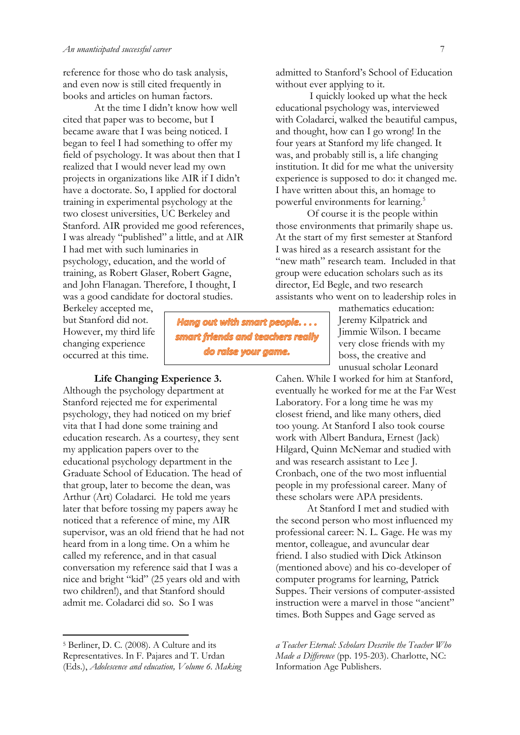reference for those who do task analysis, and even now is still cited frequently in books and articles on human factors.

At the time I didn't know how well cited that paper was to become, but I became aware that I was being noticed. I began to feel I had something to offer my field of psychology. It was about then that I realized that I would never lead my own projects in organizations like AIR if I didn't have a doctorate. So, I applied for doctoral training in experimental psychology at the two closest universities, UC Berkeley and Stanford. AIR provided me good references, I was already "published" a little, and at AIR I had met with such luminaries in psychology, education, and the world of training, as Robert Glaser, Robert Gagne, and John Flanagan. Therefore, I thought, I was a good candidate for doctoral studies.

Berkeley accepted me, but Stanford did not. However, my third life changing experience occurred at this time.

**Life Changing Experience 3.** Although the psychology department at Stanford rejected me for experimental psychology, they had noticed on my brief vita that I had done some training and education research. As a courtesy, they sent my application papers over to the educational psychology department in the Graduate School of Education. The head of that group, later to become the dean, was Arthur (Art) Coladarci. He told me years later that before tossing my papers away he noticed that a reference of mine, my AIR supervisor, was an old friend that he had not heard from in a long time. On a whim he called my reference, and in that casual conversation my reference said that I was a nice and bright "kid" (25 years old and with two children!), and that Stanford should admit me. Coladarci did so. So I was

Hang out with smart people.... smart friends and teachers really

do raise your game.

admitted to Stanford's School of Education without ever applying to it.

I quickly looked up what the heck educational psychology was, interviewed with Coladarci, walked the beautiful campus, and thought, how can I go wrong! In the four years at Stanford my life changed. It was, and probably still is, a life changing institution. It did for me what the university experience is supposed to do: it changed me. I have written about this, an homage to powerful environments for learning.<sup>5</sup>

Of course it is the people within those environments that primarily shape us. At the start of my first semester at Stanford I was hired as a research assistant for the "new math" research team. Included in that group were education scholars such as its director, Ed Begle, and two research assistants who went on to leadership roles in

> mathematics education: Jeremy Kilpatrick and Jimmie Wilson. I became very close friends with my boss, the creative and unusual scholar Leonard

Cahen. While I worked for him at Stanford, eventually he worked for me at the Far West Laboratory. For a long time he was my closest friend, and like many others, died too young. At Stanford I also took course work with Albert Bandura, Ernest (Jack) Hilgard, Quinn McNemar and studied with and was research assistant to Lee J. Cronbach, one of the two most influential people in my professional career. Many of these scholars were APA presidents.

At Stanford I met and studied with the second person who most influenced my professional career: N. L. Gage. He was my mentor, colleague, and avuncular dear friend. I also studied with Dick Atkinson (mentioned above) and his co-developer of computer programs for learning, Patrick Suppes. Their versions of computer-assisted instruction were a marvel in those "ancient" times. Both Suppes and Gage served as

<sup>5</sup> Berliner, D. C. (2008). A Culture and its Representatives. In F. Pajares and T. Urdan (Eds.), *Adolescence and education, Volume 6. Making* 

*a Teacher Eternal: Scholars Describe the Teacher Who Made a Difference* (pp. 195-203). Charlotte, NC: Information Age Publishers.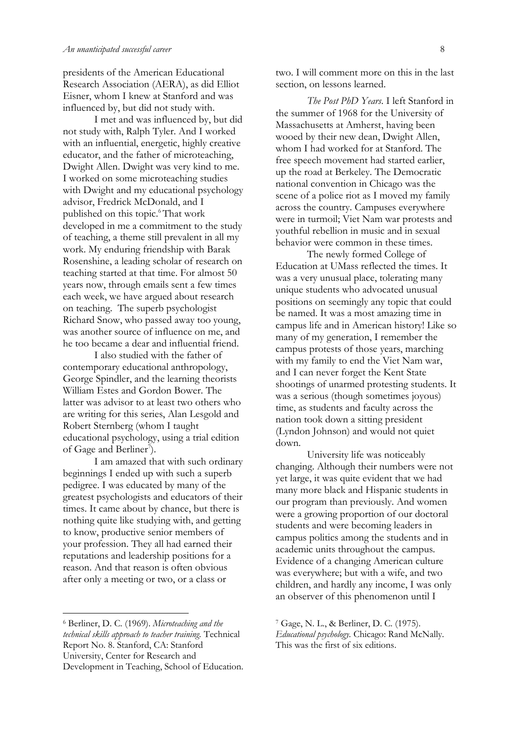presidents of the American Educational Research Association (AERA), as did Elliot Eisner, whom I knew at Stanford and was influenced by, but did not study with.

I met and was influenced by, but did not study with, Ralph Tyler. And I worked with an influential, energetic, highly creative educator, and the father of microteaching, Dwight Allen. Dwight was very kind to me. I worked on some microteaching studies with Dwight and my educational psychology advisor, Fredrick McDonald, and I published on this topic.<sup>6</sup>That work developed in me a commitment to the study of teaching, a theme still prevalent in all my work. My enduring friendship with Barak Rosenshine, a leading scholar of research on teaching started at that time. For almost 50 years now, through emails sent a few times each week, we have argued about research on teaching. The superb psychologist Richard Snow, who passed away too young, was another source of influence on me, and he too became a dear and influential friend.

I also studied with the father of contemporary educational anthropology, George Spindler, and the learning theorists William Estes and Gordon Bower. The latter was advisor to at least two others who are writing for this series, Alan Lesgold and Robert Sternberg (whom I taught educational psychology, using a trial edition of Gage and Berliner<sup>7</sup>).

I am amazed that with such ordinary beginnings I ended up with such a superb pedigree. I was educated by many of the greatest psychologists and educators of their times. It came about by chance, but there is nothing quite like studying with, and getting to know, productive senior members of your profession. They all had earned their reputations and leadership positions for a reason. And that reason is often obvious after only a meeting or two, or a class or

<sup>6</sup> Berliner, D. C. (1969). *Microteaching and the technical skills approach to teacher training.* Technical Report No. 8. Stanford, CA: Stanford University, Center for Research and Development in Teaching, School of Education.

1

two. I will comment more on this in the last section, on lessons learned.

*The Post PhD Years*. I left Stanford in the summer of 1968 for the University of Massachusetts at Amherst, having been wooed by their new dean, Dwight Allen, whom I had worked for at Stanford. The free speech movement had started earlier, up the road at Berkeley. The Democratic national convention in Chicago was the scene of a police riot as I moved my family across the country. Campuses everywhere were in turmoil; Viet Nam war protests and youthful rebellion in music and in sexual behavior were common in these times.

The newly formed College of Education at UMass reflected the times. It was a very unusual place, tolerating many unique students who advocated unusual positions on seemingly any topic that could be named. It was a most amazing time in campus life and in American history! Like so many of my generation, I remember the campus protests of those years, marching with my family to end the Viet Nam war, and I can never forget the Kent State shootings of unarmed protesting students. It was a serious (though sometimes joyous) time, as students and faculty across the nation took down a sitting president (Lyndon Johnson) and would not quiet down.

University life was noticeably changing. Although their numbers were not yet large, it was quite evident that we had many more black and Hispanic students in our program than previously. And women were a growing proportion of our doctoral students and were becoming leaders in campus politics among the students and in academic units throughout the campus. Evidence of a changing American culture was everywhere; but with a wife, and two children, and hardly any income, I was only an observer of this phenomenon until I

<sup>7</sup> Gage, N. L., & Berliner, D. C. (1975).

*Educational psychology.* Chicago: Rand McNally. This was the first of six editions.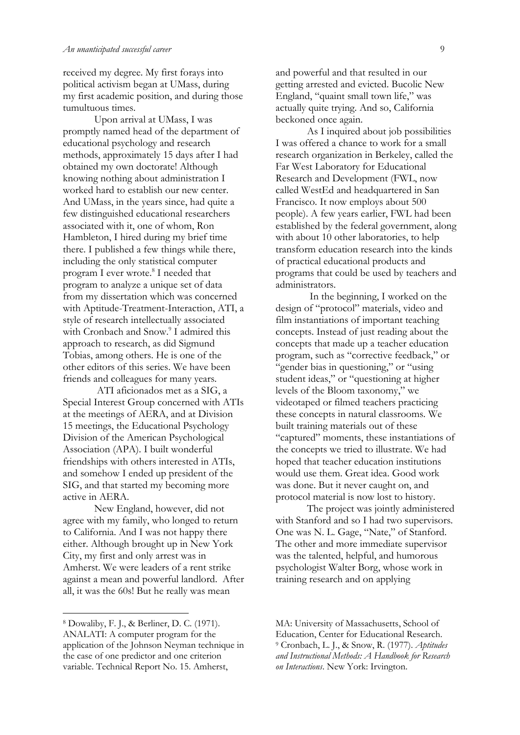received my degree. My first forays into political activism began at UMass, during my first academic position, and during those tumultuous times.

Upon arrival at UMass, I was promptly named head of the department of educational psychology and research methods, approximately 15 days after I had obtained my own doctorate! Although knowing nothing about administration I worked hard to establish our new center. And UMass, in the years since, had quite a few distinguished educational researchers associated with it, one of whom, Ron Hambleton, I hired during my brief time there. I published a few things while there, including the only statistical computer program I ever wrote.<sup>8</sup> I needed that program to analyze a unique set of data from my dissertation which was concerned with Aptitude-Treatment-Interaction, ATI, a style of research intellectually associated with Cronbach and Snow.<sup>9</sup> I admired this approach to research, as did Sigmund Tobias, among others. He is one of the other editors of this series. We have been friends and colleagues for many years.

ATI aficionados met as a SIG, a Special Interest Group concerned with ATIs at the meetings of AERA, and at Division 15 meetings, the Educational Psychology Division of the American Psychological Association (APA). I built wonderful friendships with others interested in ATIs, and somehow I ended up president of the SIG, and that started my becoming more active in AERA.

New England, however, did not agree with my family, who longed to return to California. And I was not happy there either. Although brought up in New York City, my first and only arrest was in Amherst. We were leaders of a rent strike against a mean and powerful landlord. After all, it was the 60s! But he really was mean

and powerful and that resulted in our getting arrested and evicted. Bucolic New England, "quaint small town life," was actually quite trying. And so, California beckoned once again.

As I inquired about job possibilities I was offered a chance to work for a small research organization in Berkeley, called the Far West Laboratory for Educational Research and Development (FWL, now called WestEd and headquartered in San Francisco. It now employs about 500 people). A few years earlier, FWL had been established by the federal government, along with about 10 other laboratories, to help transform education research into the kinds of practical educational products and programs that could be used by teachers and administrators.

In the beginning, I worked on the design of "protocol" materials, video and film instantiations of important teaching concepts. Instead of just reading about the concepts that made up a teacher education program, such as "corrective feedback," or "gender bias in questioning," or "using student ideas," or "questioning at higher levels of the Bloom taxonomy," we videotaped or filmed teachers practicing these concepts in natural classrooms. We built training materials out of these "captured" moments, these instantiations of the concepts we tried to illustrate. We had hoped that teacher education institutions would use them. Great idea. Good work was done. But it never caught on, and protocol material is now lost to history.

The project was jointly administered with Stanford and so I had two supervisors. One was N. L. Gage, "Nate," of Stanford. The other and more immediate supervisor was the talented, helpful, and humorous psychologist Walter Borg, whose work in training research and on applying

<sup>8</sup> Dowaliby, F. J., & Berliner, D. C. (1971). ANALATI: A computer program for the application of the Johnson Neyman technique in the case of one predictor and one criterion variable. Technical Report No. 15. Amherst,

MA: University of Massachusetts, School of Education, Center for Educational Research. <sup>9</sup> Cronbach, L. J., & Snow, R. (1977). *Aptitudes and Instructional Methods: A Handbook for Research on Interactions*. New York: Irvington.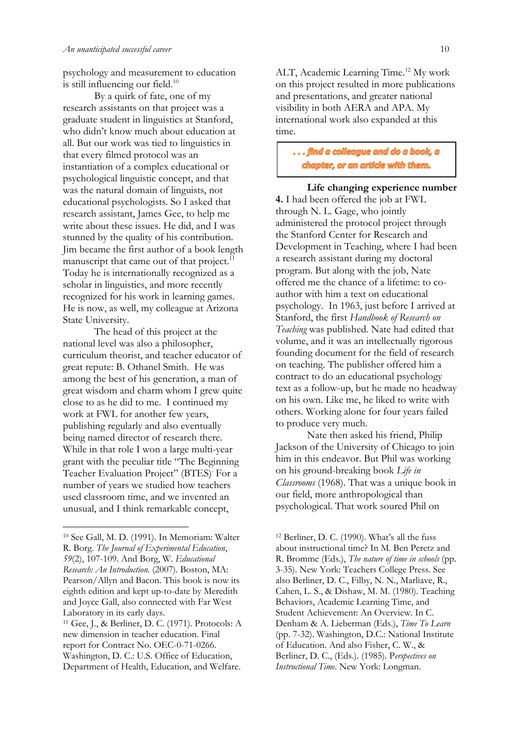psychology and measurement to education is still influencing our field.<sup>10</sup>

By a quirk of fate, one of my research assistants on that project was a graduate student in linguistics at Stanford, who didn't know much about education at all. But our work was tied to linguistics in that every filmed protocol was an instantiation of a complex educational or psychological linguistic concept, and that was the natural domain of linguists, not educational psychologists. So I asked that research assistant, James Gee, to help me write about these issues. He did, and I was stunned by the quality of his contribution. Jim became the first author of a book length manuscript that came out of that project.<sup>11</sup> Today he is internationally recognized as a scholar in linguistics, and more recently recognized for his work in learning games. He is now, as well, my colleague at Arizona State University.

The head of this project at the national level was also a philosopher, curriculum theorist, and teacher educator of great repute: B. Othanel Smith. He was among the best of his generation, a man of great wisdom and charm whom I grew quite close to as he did to me. I continued my work at FWL for another few years, publishing regularly and also eventually being named director of research there. While in that role I won a large multi-year grant with the peculiar title "The Beginning Teacher Evaluation Project" (BTES). For a number of years we studied how teachers used classroom time, and we invented an unusual, and I think remarkable concept,

1

ALT, Academic Learning Time.<sup>12</sup> My work on this project resulted in more publications and presentations, and greater national visibility in both AERA and APA. My international work also expanded at this time.

# ... find a colleague and do a book, a chapter, or an article with them.

**Life changing experience number 4.** I had been offered the job at FWL through N. L. Gage, who jointly administered the protocol project through the Stanford Center for Research and Development in Teaching, where I had been a research assistant during my doctoral program. But along with the job, Nate offered me the chance of a lifetime: to coauthor with him a text on educational psychology. In 1963, just before I arrived at Stanford, the first *Handbook of Research on Teaching* was published. Nate had edited that volume, and it was an intellectually rigorous founding document for the field of research on teaching. The publisher offered him a contract to do an educational psychology text as a follow-up, but he made no headway on his own. Like me, he liked to write with others. Working alone for four years failed to produce very much.

Nate then asked his friend, Philip Jackson of the University of Chicago to join him in this endeavor. But Phil was working on his ground-breaking book *Life in Classrooms* (1968). That was a unique book in our field, more anthropological than psychological. That work soured Phil on

<sup>12</sup> Berliner, D. C. (1990). What's all the fuss about instructional time? In M. Ben Peretz and R. Bromme (Eds.), *The nature of time in schools* (pp. 3-35). New York: Teachers College Press. See also Berliner, D. C., Filby, N. N., Marliave, R., Cahen, L. S., & Dishaw, M. M. (1980). Teaching Behaviors, Academic Learning Time, and Student Achievement: An Overview. In C. Denham & A. Lieberman (Eds.), *Time To Learn* (pp. 7-32). Washington, D.C.: National Institute of Education. And also Fisher, C. W., & Berliner, D. C., (Eds.). (1985). P*erspectives on Instructional Time*. New York: Longman.

<sup>10</sup> See Gall, M. D. (1991). In Memoriam: Walter R. Borg. *The Journal of Experimental Education*, *59*(2), 107-109. And Borg, W. *Educational Research: An Introduction.* (2007). Boston, MA: Pearson/Allyn and Bacon. This book is now its eighth edition and kept up-to-date by Meredith and Joyce Gall, also connected with Far West Laboratory in its early days.

<sup>11</sup> Gee, J., & Berliner, D. C. (1971). Protocols: A new dimension in teacher education. Final report for Contract No. OEC-0-71-0266. Washington, D. C.: U.S. Office of Education, Department of Health, Education, and Welfare.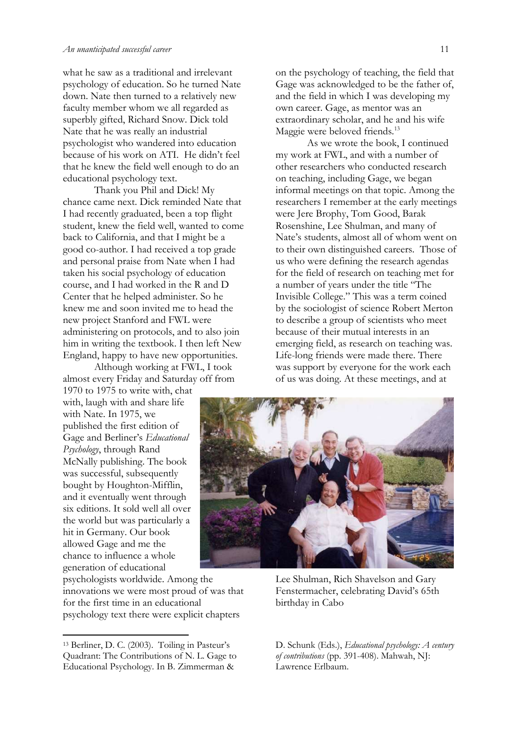what he saw as a traditional and irrelevant psychology of education. So he turned Nate down. Nate then turned to a relatively new faculty member whom we all regarded as superbly gifted, Richard Snow. Dick told Nate that he was really an industrial psychologist who wandered into education because of his work on ATI. He didn't feel that he knew the field well enough to do an educational psychology text.

Thank you Phil and Dick! My chance came next. Dick reminded Nate that I had recently graduated, been a top flight student, knew the field well, wanted to come back to California, and that I might be a good co-author. I had received a top grade and personal praise from Nate when I had taken his social psychology of education course, and I had worked in the R and D Center that he helped administer. So he knew me and soon invited me to head the new project Stanford and FWL were administering on protocols, and to also join him in writing the textbook. I then left New England, happy to have new opportunities.

Although working at FWL, I took almost every Friday and Saturday off from

1970 to 1975 to write with, chat with, laugh with and share life with Nate. In 1975, we published the first edition of Gage and Berliner's *Educational Psychology*, through Rand McNally publishing. The book was successful, subsequently bought by Houghton-Mifflin, and it eventually went through six editions. It sold well all over the world but was particularly a hit in Germany. Our book allowed Gage and me the chance to influence a whole generation of educational

psychologists worldwide. Among the innovations we were most proud of was that for the first time in an educational psychology text there were explicit chapters

on the psychology of teaching, the field that Gage was acknowledged to be the father of, and the field in which I was developing my own career. Gage, as mentor was an extraordinary scholar, and he and his wife Maggie were beloved friends.<sup>13</sup>

As we wrote the book, I continued my work at FWL, and with a number of other researchers who conducted research on teaching, including Gage, we began informal meetings on that topic. Among the researchers I remember at the early meetings were Jere Brophy, Tom Good, Barak Rosenshine, Lee Shulman, and many of Nate's students, almost all of whom went on to their own distinguished careers. Those of us who were defining the research agendas for the field of research on teaching met for a number of years under the title "The Invisible College." This was a term coined by the sociologist of science Robert Merton to describe a group of scientists who meet because of their mutual interests in an emerging field, as research on teaching was. Life-long friends were made there. There was support by everyone for the work each of us was doing. At these meetings, and at



Lee Shulman, Rich Shavelson and Gary Fenstermacher, celebrating David's 65th birthday in Cabo

D. Schunk (Eds.), *Educational psychology: A century of contributions* (pp. 391-408). Mahwah, NJ: Lawrence Erlbaum.

<sup>13</sup> Berliner, D. C. (2003). Toiling in Pasteur's Quadrant: The Contributions of N. L. Gage to Educational Psychology. In B. Zimmerman &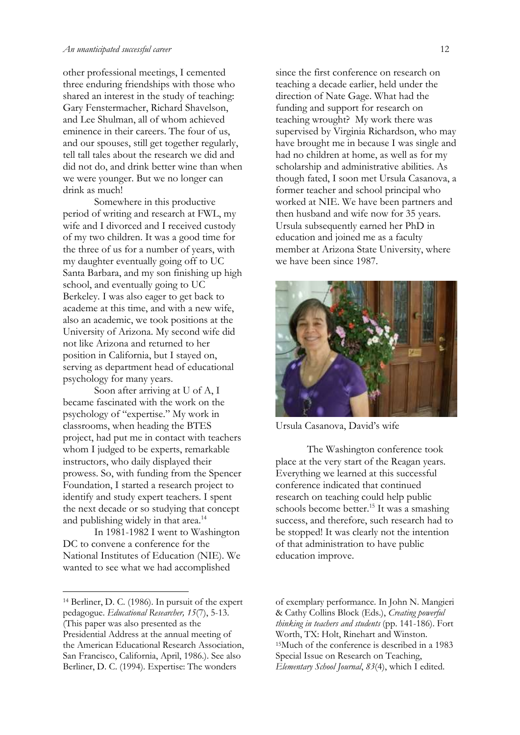other professional meetings, I cemented three enduring friendships with those who shared an interest in the study of teaching: Gary Fenstermacher, Richard Shavelson, and Lee Shulman, all of whom achieved eminence in their careers. The four of us, and our spouses, still get together regularly, tell tall tales about the research we did and did not do, and drink better wine than when we were younger. But we no longer can drink as much!

Somewhere in this productive period of writing and research at FWL, my wife and I divorced and I received custody of my two children. It was a good time for the three of us for a number of years, with my daughter eventually going off to UC Santa Barbara, and my son finishing up high school, and eventually going to UC Berkeley. I was also eager to get back to academe at this time, and with a new wife, also an academic, we took positions at the University of Arizona. My second wife did not like Arizona and returned to her position in California, but I stayed on, serving as department head of educational psychology for many years.

Soon after arriving at U of A, I became fascinated with the work on the psychology of "expertise." My work in classrooms, when heading the BTES project, had put me in contact with teachers whom I judged to be experts, remarkable instructors, who daily displayed their prowess. So, with funding from the Spencer Foundation, I started a research project to identify and study expert teachers. I spent the next decade or so studying that concept and publishing widely in that area.<sup>14</sup>

In 1981-1982 I went to Washington DC to convene a conference for the National Institutes of Education (NIE). We wanted to see what we had accomplished

1

since the first conference on research on teaching a decade earlier, held under the direction of Nate Gage. What had the funding and support for research on teaching wrought? My work there was supervised by Virginia Richardson, who may have brought me in because I was single and had no children at home, as well as for my scholarship and administrative abilities. As though fated, I soon met Ursula Casanova, a former teacher and school principal who worked at NIE. We have been partners and then husband and wife now for 35 years. Ursula subsequently earned her PhD in education and joined me as a faculty member at Arizona State University, where we have been since 1987.



Ursula Casanova, David's wife

The Washington conference took place at the very start of the Reagan years. Everything we learned at this successful conference indicated that continued research on teaching could help public schools become better.<sup>15</sup> It was a smashing success, and therefore, such research had to be stopped! It was clearly not the intention of that administration to have public education improve.

<sup>14</sup> Berliner, D. C. (1986). In pursuit of the expert pedagogue. *Educational Researcher, 15*(7), 5-13. (This paper was also presented as the Presidential Address at the annual meeting of the American Educational Research Association, San Francisco, California, April, 1986.). See also Berliner, D. C. (1994). Expertise: The wonders

of exemplary performance. In John N. Mangieri & Cathy Collins Block (Eds.), *Creating powerful thinking in teachers and students* (pp. 141-186). Fort Worth, TX: Holt, Rinehart and Winston. <sup>15</sup>Much of the conference is described in a 1983 Special Issue on Research on Teaching, *Elementary School Journal*, *83*(4), which I edited.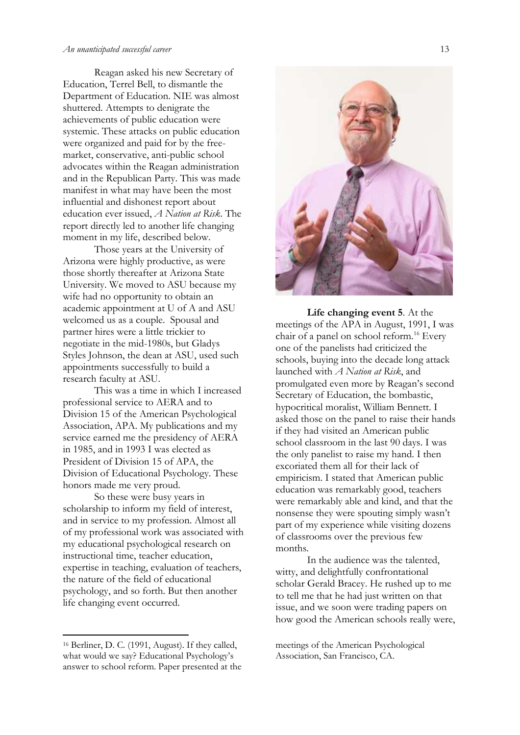#### *An unanticipated successful career* 13

Reagan asked his new Secretary of Education, Terrel Bell, to dismantle the Department of Education. NIE was almost shuttered. Attempts to denigrate the achievements of public education were systemic. These attacks on public education were organized and paid for by the freemarket, conservative, anti-public school advocates within the Reagan administration and in the Republican Party. This was made manifest in what may have been the most influential and dishonest report about education ever issued, *A Nation at Risk*. The report directly led to another life changing moment in my life, described below.

Those years at the University of Arizona were highly productive, as were those shortly thereafter at Arizona State University. We moved to ASU because my wife had no opportunity to obtain an academic appointment at U of A and ASU welcomed us as a couple. Spousal and partner hires were a little trickier to negotiate in the mid-1980s, but Gladys Styles Johnson, the dean at ASU, used such appointments successfully to build a research faculty at ASU.

This was a time in which I increased professional service to AERA and to Division 15 of the American Psychological Association, APA. My publications and my service earned me the presidency of AERA in 1985, and in 1993 I was elected as President of Division 15 of APA, the Division of Educational Psychology. These honors made me very proud.

So these were busy years in scholarship to inform my field of interest, and in service to my profession. Almost all of my professional work was associated with my educational psychological research on instructional time, teacher education, expertise in teaching, evaluation of teachers, the nature of the field of educational psychology, and so forth. But then another life changing event occurred.



**Life changing event 5**. At the meetings of the APA in August, 1991, I was chair of a panel on school reform.<sup>16</sup> Every one of the panelists had criticized the schools, buying into the decade long attack launched with *A Nation at Risk*, and promulgated even more by Reagan's second Secretary of Education, the bombastic, hypocritical moralist, William Bennett. I asked those on the panel to raise their hands if they had visited an American public school classroom in the last 90 days. I was the only panelist to raise my hand. I then excoriated them all for their lack of empiricism. I stated that American public education was remarkably good, teachers were remarkably able and kind, and that the nonsense they were spouting simply wasn't part of my experience while visiting dozens of classrooms over the previous few months.

In the audience was the talented, witty, and delightfully confrontational scholar Gerald Bracey. He rushed up to me to tell me that he had just written on that issue, and we soon were trading papers on how good the American schools really were,

meetings of the American Psychological Association, San Francisco, CA.

<sup>16</sup> Berliner, D. C. (1991, August). If they called, what would we say? Educational Psychology's answer to school reform. Paper presented at the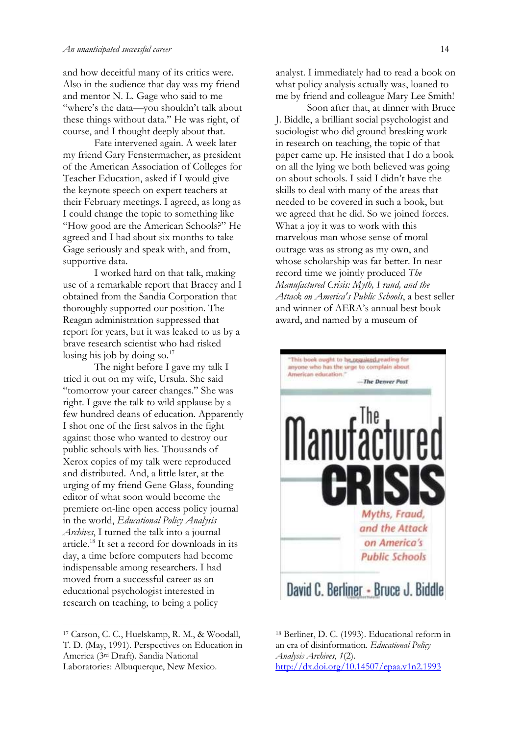and how deceitful many of its critics were. Also in the audience that day was my friend and mentor N. L. Gage who said to me "where's the data—you shouldn't talk about these things without data." He was right, of course, and I thought deeply about that.

Fate intervened again. A week later my friend Gary Fenstermacher, as president of the American Association of Colleges for Teacher Education, asked if I would give the keynote speech on expert teachers at their February meetings. I agreed, as long as I could change the topic to something like "How good are the American Schools?" He agreed and I had about six months to take Gage seriously and speak with, and from, supportive data.

I worked hard on that talk, making use of a remarkable report that Bracey and I obtained from the Sandia Corporation that thoroughly supported our position. The Reagan administration suppressed that report for years, but it was leaked to us by a brave research scientist who had risked losing his job by doing so. $17$ 

The night before I gave my talk I tried it out on my wife, Ursula. She said "tomorrow your career changes." She was right. I gave the talk to wild applause by a few hundred deans of education. Apparently I shot one of the first salvos in the fight against those who wanted to destroy our public schools with lies. Thousands of Xerox copies of my talk were reproduced and distributed. And, a little later, at the urging of my friend Gene Glass, founding editor of what soon would become the premiere on-line open access policy journal in the world, *Educational Policy Analysis Archives*, I turned the talk into a journal article.<sup>18</sup> It set a record for downloads in its day, a time before computers had become indispensable among researchers. I had moved from a successful career as an educational psychologist interested in research on teaching, to being a policy

1

analyst. I immediately had to read a book on what policy analysis actually was, loaned to me by friend and colleague Mary Lee Smith!

Soon after that, at dinner with Bruce J. Biddle, a brilliant social psychologist and sociologist who did ground breaking work in research on teaching, the topic of that paper came up. He insisted that I do a book on all the lying we both believed was going on about schools. I said I didn't have the skills to deal with many of the areas that needed to be covered in such a book, but we agreed that he did. So we joined forces. What a joy it was to work with this marvelous man whose sense of moral outrage was as strong as my own, and whose scholarship was far better. In near record time we jointly produced *The Manufactured Crisis: Myth, Fraud, and the Attack on America's Public Schools*, a best seller and winner of AERA's annual best book award, and named by a museum of



<sup>18</sup> Berliner, D. C. (1993). Educational reform in an era of disinformation. *Educational Policy Analysis Archives*, *1*(2). <http://dx.doi.org/10.14507/epaa.v1n2.1993>

<sup>17</sup> Carson, C. C., Huelskamp, R. M., & Woodall, T. D. (May, 1991). Perspectives on Education in America (3rd Draft). Sandia National Laboratories: Albuquerque, New Mexico.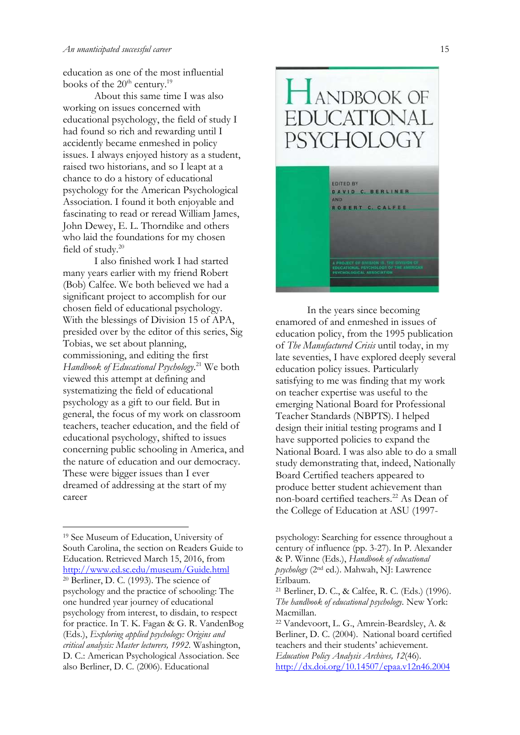education as one of the most influential books of the  $20<sup>th</sup>$  century.<sup>19</sup>

About this same time I was also working on issues concerned with educational psychology, the field of study I had found so rich and rewarding until I accidently became enmeshed in policy issues. I always enjoyed history as a student, raised two historians, and so I leapt at a chance to do a history of educational psychology for the American Psychological Association. I found it both enjoyable and fascinating to read or reread William James, John Dewey, E. L. Thorndike and others who laid the foundations for my chosen field of study.<sup>20</sup>

I also finished work I had started many years earlier with my friend Robert (Bob) Calfee. We both believed we had a significant project to accomplish for our chosen field of educational psychology. With the blessings of Division 15 of APA, presided over by the editor of this series, Sig Tobias, we set about planning, commissioning, and editing the first *Handbook of Educational Psychology*. <sup>21</sup> We both viewed this attempt at defining and systematizing the field of educational psychology as a gift to our field. But in general, the focus of my work on classroom teachers, teacher education, and the field of educational psychology, shifted to issues concerning public schooling in America, and the nature of education and our democracy. These were bigger issues than I ever dreamed of addressing at the start of my career

<sup>19</sup> See Museum of Education, University of South Carolina, the section on Readers Guide to Education. Retrieved March 15, 2016, from <http://www.ed.sc.edu/museum/Guide.html> <sup>20</sup> Berliner, D. C. (1993). The science of psychology and the practice of schooling: The one hundred year journey of educational psychology from interest, to disdain, to respect for practice. In T. K. Fagan & G. R. VandenBog (Eds.), *Exploring applied psychology: Origins and critical analysis: Master lecturers, 1992.* Washington, D. C.: American Psychological Association. See also Berliner, D. C. (2006). Educational



In the years since becoming enamored of and enmeshed in issues of education policy, from the 1995 publication of *The Manufactured Crisis* until today, in my late seventies, I have explored deeply several education policy issues. Particularly satisfying to me was finding that my work on teacher expertise was useful to the emerging National Board for Professional Teacher Standards (NBPTS). I helped design their initial testing programs and I have supported policies to expand the National Board. I was also able to do a small study demonstrating that, indeed, Nationally Board Certified teachers appeared to produce better student achievement than non-board certified teachers.<sup>22</sup> As Dean of the College of Education at ASU (1997-

psychology: Searching for essence throughout a century of influence (pp. 3-27). In P. Alexander & P. Winne (Eds.), *Handbook of educational psychology* (2nd ed.). Mahwah, NJ: Lawrence Erlbaum.

<sup>21</sup> Berliner, D. C., & Calfee, R. C. (Eds.) (1996). *The handbook of educational psychology.* New York: Macmillan.

<sup>22</sup> Vandevoort, L. G., Amrein-Beardsley, A. & Berliner, D. C. (2004). National board certified teachers and their students' achievement. *Education Policy Analysis Archives, 12*(46). <http://dx.doi.org/10.14507/epaa.v12n46.2004>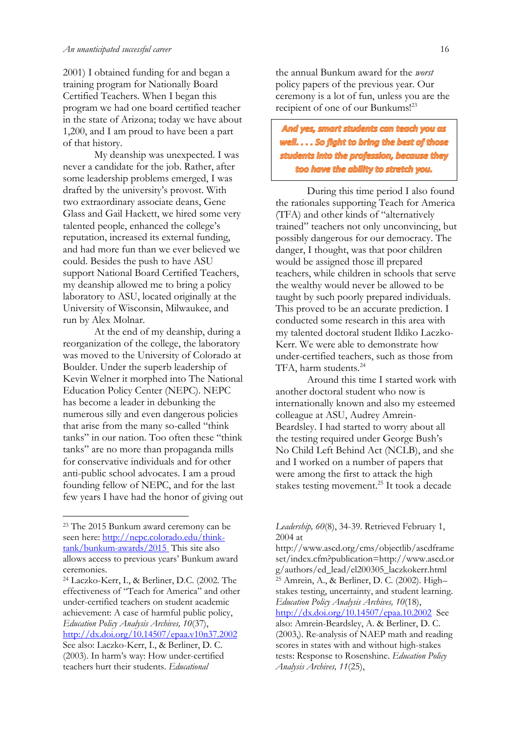2001) I obtained funding for and began a training program for Nationally Board Certified Teachers. When I began this program we had one board certified teacher in the state of Arizona; today we have about 1,200, and I am proud to have been a part of that history.

My deanship was unexpected. I was never a candidate for the job. Rather, after some leadership problems emerged, I was drafted by the university's provost. With two extraordinary associate deans, Gene Glass and Gail Hackett, we hired some very talented people, enhanced the college's reputation, increased its external funding, and had more fun than we ever believed we could. Besides the push to have ASU support National Board Certified Teachers, my deanship allowed me to bring a policy laboratory to ASU, located originally at the University of Wisconsin, Milwaukee, and run by Alex Molnar.

At the end of my deanship, during a reorganization of the college, the laboratory was moved to the University of Colorado at Boulder. Under the superb leadership of Kevin Welner it morphed into The National Education Policy Center (NEPC). NEPC has become a leader in debunking the numerous silly and even dangerous policies that arise from the many so-called "think tanks" in our nation. Too often these "think tanks" are no more than propaganda mills for conservative individuals and for other anti-public school advocates. I am a proud founding fellow of NEPC, and for the last few years I have had the honor of giving out the annual Bunkum award for the *worst*  policy papers of the previous year. Our ceremony is a lot of fun, unless you are the recipient of one of our Bunkums!<sup>23</sup>

And yes, smart students can teach you as well.... So fight to bring the best of those students into the profession, because they too have the ability to stretch you.

During this time period I also found the rationales supporting Teach for America (TFA) and other kinds of "alternatively trained" teachers not only unconvincing, but possibly dangerous for our democracy. The danger, I thought, was that poor children would be assigned those ill prepared teachers, while children in schools that serve the wealthy would never be allowed to be taught by such poorly prepared individuals. This proved to be an accurate prediction. I conducted some research in this area with my talented doctoral student Ildiko Laczko-Kerr. We were able to demonstrate how under-certified teachers, such as those from TFA, harm students.<sup>24</sup>

Around this time I started work with another doctoral student who now is internationally known and also my esteemed colleague at ASU, Audrey Amrein-Beardsley. I had started to worry about all the testing required under George Bush's No Child Left Behind Act (NCLB), and she and I worked on a number of papers that were among the first to attack the high stakes testing movement.<sup>25</sup> It took a decade

<sup>23</sup> The 2015 Bunkum award ceremony can be seen here: [http://nepc.colorado.edu/think](http://nepc.colorado.edu/think-tank/bunkum-awards/2015)[tank/bunkum-awards/2015](http://nepc.colorado.edu/think-tank/bunkum-awards/2015) This site also allows access to previous years' Bunkum award ceremonies.

<sup>24</sup> Laczko-Kerr, I., & Berliner, D.C. (2002. The effectiveness of "Teach for America" and other under-certified teachers on student academic achievement: A case of harmful public policy, *Education Policy Analysis Archives, 10*(37), <http://dx.doi.org/10.14507/epaa.v10n37.2002> See also: Laczko-Kerr, I., & Berliner, D. C. (2003). In harm's way: How under-certified teachers hurt their students. *Educational* 

*Leadership, 60*(8), 34-39. Retrieved February 1, 2004 at

http://www.ascd.org/cms/objectlib/ascdframe set/index.cfm?publication=http://www.ascd.or g/authors/ed\_lead/el200305\_laczkokerr.html <sup>25</sup> Amrein, A., & Berliner, D. C. (2002). High– stakes testing, uncertainty, and student learning. *Education Policy Analysis Archives, 10*(18), <http://dx.doi.org/10.14507/epaa.10.2002> See also: Amrein-Beardsley, A. & Berliner, D. C. (2003,). Re-analysis of NAEP math and reading scores in states with and without high-stakes tests: Response to Rosenshine. *Education Policy Analysis Archives, 11*(25),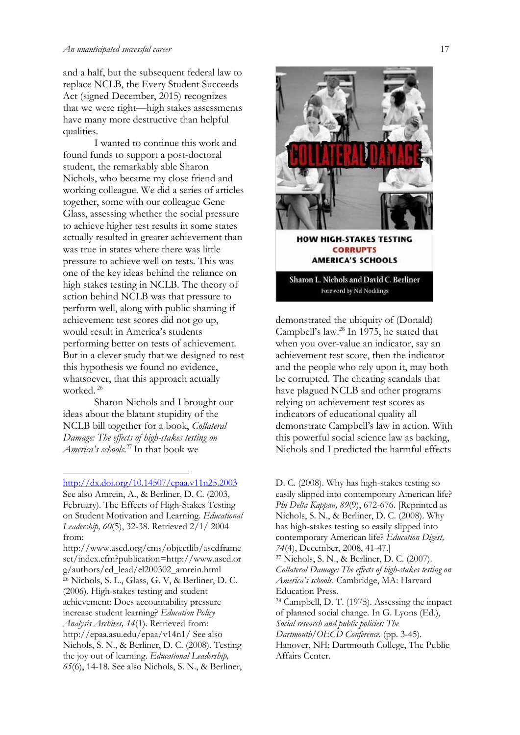#### *An unanticipated successful career* 17

and a half, but the subsequent federal law to replace NCLB, the Every Student Succeeds Act (signed December, 2015) recognizes that we were right—high stakes assessments have many more destructive than helpful qualities.

I wanted to continue this work and found funds to support a post-doctoral student, the remarkably able Sharon Nichols, who became my close friend and working colleague. We did a series of articles together, some with our colleague Gene Glass, assessing whether the social pressure to achieve higher test results in some states actually resulted in greater achievement than was true in states where there was little pressure to achieve well on tests. This was one of the key ideas behind the reliance on high stakes testing in NCLB. The theory of action behind NCLB was that pressure to perform well, along with public shaming if achievement test scores did not go up, would result in America's students performing better on tests of achievement. But in a clever study that we designed to test this hypothesis we found no evidence, whatsoever, that this approach actually worked. <sup>26</sup>

Sharon Nichols and I brought our ideas about the blatant stupidity of the NCLB bill together for a book, *Collateral Damage: The effects of high-stakes testing on America's schools*. <sup>27</sup> In that book we

<http://dx.doi.org/10.14507/epaa.v11n25.2003> See also Amrein, A., & Berliner, D. C. (2003, February). The Effects of High-Stakes Testing on Student Motivation and Learning. *Educational Leadership, 60*(5), 32-38. Retrieved 2/1/ 2004 from:

http://www.ascd.org/cms/objectlib/ascdframe set/index.cfm?publication=http://www.ascd.or g/authors/ed\_lead/el200302\_amrein.html <sup>26</sup> Nichols, S. L., Glass, G. V, & Berliner, D. C. (2006). High-stakes testing and student achievement: Does accountability pressure increase student learning? *Education Policy Analysis Archives, 14*(1). Retrieved from: http://epaa.asu.edu/epaa/v14n1/ See also Nichols, S. N., & Berliner, D. C. (2008). Testing the joy out of learning. *Educational Leadership, 65*(6), 14-18. See also Nichols, S. N., & Berliner,



Foreword by Nel Noddings

demonstrated the ubiquity of (Donald) Campbell's law.<sup>28</sup> In 1975, he stated that when you over-value an indicator, say an achievement test score, then the indicator and the people who rely upon it, may both be corrupted. The cheating scandals that have plagued NCLB and other programs relying on achievement test scores as indicators of educational quality all demonstrate Campbell's law in action. With this powerful social science law as backing, Nichols and I predicted the harmful effects

D. C. (2008). Why has high-stakes testing so easily slipped into contemporary American life? *Phi Delta Kappan, 89*(9), 672-676. [Reprinted as Nichols, S. N., & Berliner, D. C. (2008). Why has high-stakes testing so easily slipped into contemporary American life? *Education Digest, 74*(4), December, 2008, 41-47.] <sup>27</sup> Nichols, S. N., & Berliner, D. C. (2007). *Collateral Damage: The effects of high-stakes testing on America's schools*. Cambridge, MA: Harvard Education Press. <sup>28</sup> Campbell, D. T. (1975). Assessing the impact of planned social change. In G. Lyons (Ed.), *Social research and public policies: The Dartmouth/OECD Conference.* (pp. 3-45). Hanover, NH: Dartmouth College, The Public Affairs Center.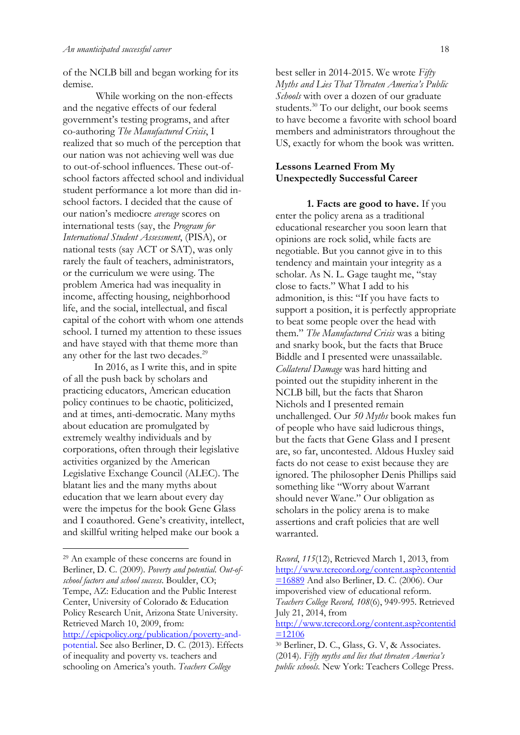of the NCLB bill and began working for its demise.

While working on the non-effects and the negative effects of our federal government's testing programs, and after co-authoring *The Manufactured Crisis*, I realized that so much of the perception that our nation was not achieving well was due to out-of-school influences. These out-ofschool factors affected school and individual student performance a lot more than did inschool factors. I decided that the cause of our nation's mediocre *average* scores on international tests (say, the *Program for International Student Assessment*, (PISA), or national tests (say ACT or SAT), was only rarely the fault of teachers, administrators, or the curriculum we were using. The problem America had was inequality in income, affecting housing, neighborhood life, and the social, intellectual, and fiscal capital of the cohort with whom one attends school. I turned my attention to these issues and have stayed with that theme more than any other for the last two decades.<sup>29</sup>

In 2016, as I write this, and in spite of all the push back by scholars and practicing educators, American education policy continues to be chaotic, politicized, and at times, anti-democratic. Many myths about education are promulgated by extremely wealthy individuals and by corporations, often through their legislative activities organized by the American Legislative Exchange Council (ALEC). The blatant lies and the many myths about education that we learn about every day were the impetus for the book Gene Glass and I coauthored. Gene's creativity, intellect, and skillful writing helped make our book a

best seller in 2014-2015. We wrote *Fifty Myths and Lies That Threaten America's Public Schools* with over a dozen of our graduate students.<sup>30</sup> To our delight, our book seems to have become a favorite with school board members and administrators throughout the US, exactly for whom the book was written.

# **Lessons Learned From My Unexpectedly Successful Career**

**1. Facts are good to have.** If you enter the policy arena as a traditional educational researcher you soon learn that opinions are rock solid, while facts are negotiable. But you cannot give in to this tendency and maintain your integrity as a scholar. As N. L. Gage taught me, "stay close to facts." What I add to his admonition, is this: "If you have facts to support a position, it is perfectly appropriate to beat some people over the head with them." *The Manufactured Crisis* was a biting and snarky book, but the facts that Bruce Biddle and I presented were unassailable. *Collateral Damage* was hard hitting and pointed out the stupidity inherent in the NCLB bill, but the facts that Sharon Nichols and I presented remain unchallenged. Our *50 Myths* book makes fun of people who have said ludicrous things, but the facts that Gene Glass and I present are, so far, uncontested. Aldous Huxley said facts do not cease to exist because they are ignored. The philosopher Denis Phillips said something like "Worry about Warrant should never Wane." Our obligation as scholars in the policy arena is to make assertions and craft policies that are well warranted.

<sup>29</sup> An example of these concerns are found in Berliner, D. C. (2009). *Poverty and potential. Out-ofschool factors and school success*. Boulder, CO; Tempe, AZ: Education and the Public Interest Center, University of Colorado & Education Policy Research Unit, Arizona State University. Retrieved March 10, 2009, from:

[http://epicpolicy.org/publication/poverty-a](http://epicpolicy.org/publication/poverty-)ndpotential. See also Berliner, D. C. (2013). Effects of inequality and poverty vs. teachers and schooling on America's youth. *Teachers College* 

*Record*, *115*(12), Retrieved March 1, 2013, from [http://www.tcrecord.org/content.asp?contentid](http://www.tcrecord.org/content.asp?contentid=16889)  $=16889$  And also Berliner, D. C. (2006). Our impoverished view of educational reform. *Teachers College Record, 108*(6), 949-995. Retrieved July 21, 2014, from

[http://www.tcrecord.org/content.asp?contentid](http://www.tcrecord.org/content.asp?contentid=12106)  $=12106$ 

<sup>30</sup> Berliner, D. C., Glass, G. V, & Associates. (2014). *Fifty myths and lies that threaten America's public schools.* New York: Teachers College Press.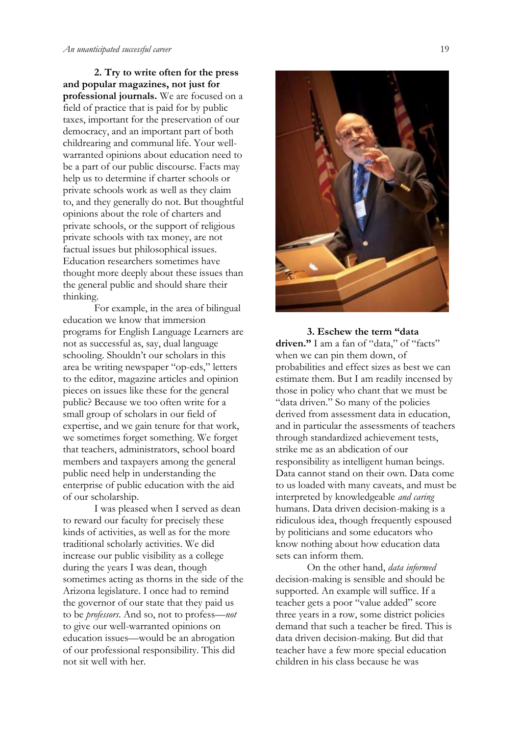**2. Try to write often for the press and popular magazines, not just for professional journals.** We are focused on a field of practice that is paid for by public taxes, important for the preservation of our democracy, and an important part of both childrearing and communal life. Your wellwarranted opinions about education need to be a part of our public discourse. Facts may help us to determine if charter schools or private schools work as well as they claim to, and they generally do not. But thoughtful opinions about the role of charters and private schools, or the support of religious private schools with tax money, are not factual issues but philosophical issues. Education researchers sometimes have thought more deeply about these issues than the general public and should share their thinking.

For example, in the area of bilingual education we know that immersion programs for English Language Learners are not as successful as, say, dual language schooling. Shouldn't our scholars in this area be writing newspaper "op-eds," letters to the editor, magazine articles and opinion pieces on issues like these for the general public? Because we too often write for a small group of scholars in our field of expertise, and we gain tenure for that work, we sometimes forget something. We forget that teachers, administrators, school board members and taxpayers among the general public need help in understanding the enterprise of public education with the aid of our scholarship.

I was pleased when I served as dean to reward our faculty for precisely these kinds of activities, as well as for the more traditional scholarly activities. We did increase our public visibility as a college during the years I was dean, though sometimes acting as thorns in the side of the Arizona legislature. I once had to remind the governor of our state that they paid us to be *professors*. And so, not to profess—*not* to give our well-warranted opinions on education issues—would be an abrogation of our professional responsibility. This did not sit well with her.



**3. Eschew the term "data** driven." I am a fan of "data," of "facts" when we can pin them down, of probabilities and effect sizes as best we can estimate them. But I am readily incensed by those in policy who chant that we must be "data driven." So many of the policies derived from assessment data in education. and in particular the assessments of teachers through standardized achievement tests, strike me as an abdication of our responsibility as intelligent human beings. Data cannot stand on their own. Data come to us loaded with many caveats, and must be interpreted by knowledgeable *and caring* humans. Data driven decision-making is a ridiculous idea, though frequently espoused by politicians and some educators who know nothing about how education data sets can inform them.

On the other hand, *data informed* decision-making is sensible and should be supported. An example will suffice. If a teacher gets a poor "value added" score three years in a row, some district policies demand that such a teacher be fired. This is data driven decision-making. But did that teacher have a few more special education children in his class because he was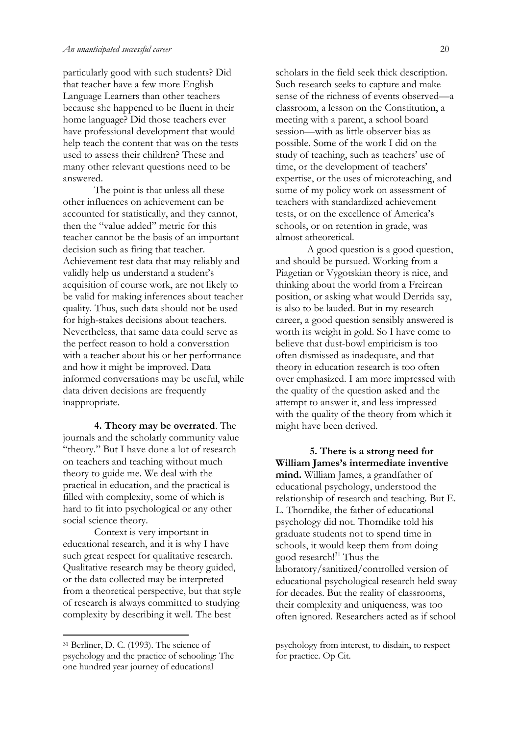particularly good with such students? Did that teacher have a few more English Language Learners than other teachers because she happened to be fluent in their home language? Did those teachers ever have professional development that would help teach the content that was on the tests used to assess their children? These and many other relevant questions need to be answered.

The point is that unless all these other influences on achievement can be accounted for statistically, and they cannot, then the "value added" metric for this teacher cannot be the basis of an important decision such as firing that teacher. Achievement test data that may reliably and validly help us understand a student's acquisition of course work, are not likely to be valid for making inferences about teacher quality. Thus, such data should not be used for high-stakes decisions about teachers. Nevertheless, that same data could serve as the perfect reason to hold a conversation with a teacher about his or her performance and how it might be improved. Data informed conversations may be useful, while data driven decisions are frequently inappropriate.

**4. Theory may be overrated**. The journals and the scholarly community value "theory." But I have done a lot of research on teachers and teaching without much theory to guide me. We deal with the practical in education, and the practical is filled with complexity, some of which is hard to fit into psychological or any other social science theory.

Context is very important in educational research, and it is why I have such great respect for qualitative research. Qualitative research may be theory guided, or the data collected may be interpreted from a theoretical perspective, but that style of research is always committed to studying complexity by describing it well. The best

scholars in the field seek thick description. Such research seeks to capture and make sense of the richness of events observed—a classroom, a lesson on the Constitution, a meeting with a parent, a school board session—with as little observer bias as possible. Some of the work I did on the study of teaching, such as teachers' use of time, or the development of teachers' expertise, or the uses of microteaching, and some of my policy work on assessment of teachers with standardized achievement tests, or on the excellence of America's schools, or on retention in grade, was almost atheoretical.

A good question is a good question, and should be pursued. Working from a Piagetian or Vygotskian theory is nice, and thinking about the world from a Freirean position, or asking what would Derrida say, is also to be lauded. But in my research career, a good question sensibly answered is worth its weight in gold. So I have come to believe that dust-bowl empiricism is too often dismissed as inadequate, and that theory in education research is too often over emphasized. I am more impressed with the quality of the question asked and the attempt to answer it, and less impressed with the quality of the theory from which it might have been derived.

**5. There is a strong need for William James's intermediate inventive mind.** William James, a grandfather of educational psychology, understood the relationship of research and teaching. But E. L. Thorndike, the father of educational psychology did not. Thorndike told his graduate students not to spend time in schools, it would keep them from doing good research!<sup>31</sup> Thus the laboratory/sanitized/controlled version of educational psychological research held sway for decades. But the reality of classrooms, their complexity and uniqueness, was too often ignored. Researchers acted as if school

<sup>31</sup> Berliner, D. C. (1993). The science of psychology and the practice of schooling: The one hundred year journey of educational

psychology from interest, to disdain, to respect for practice. Op Cit.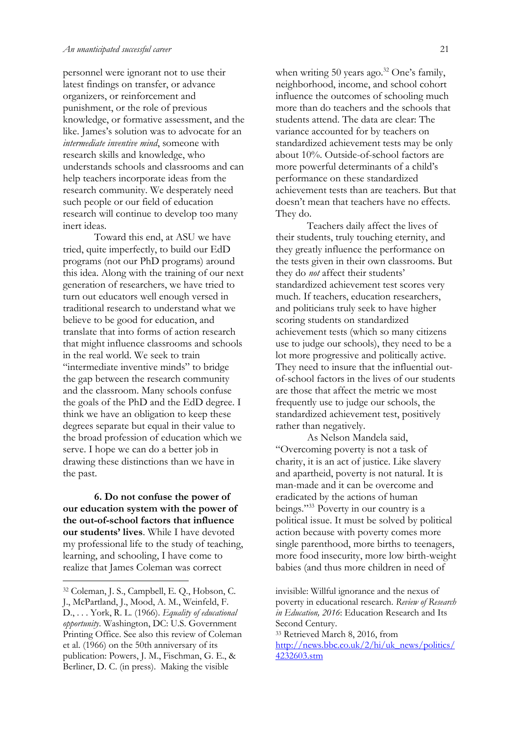personnel were ignorant not to use their latest findings on transfer, or advance organizers, or reinforcement and punishment, or the role of previous knowledge, or formative assessment, and the like. James's solution was to advocate for an *intermediate inventive mind*, someone with research skills and knowledge, who understands schools and classrooms and can help teachers incorporate ideas from the research community. We desperately need such people or our field of education research will continue to develop too many inert ideas.

Toward this end, at ASU we have tried, quite imperfectly, to build our EdD programs (not our PhD programs) around this idea. Along with the training of our next generation of researchers, we have tried to turn out educators well enough versed in traditional research to understand what we believe to be good for education, and translate that into forms of action research that might influence classrooms and schools in the real world. We seek to train "intermediate inventive minds" to bridge the gap between the research community and the classroom. Many schools confuse the goals of the PhD and the EdD degree. I think we have an obligation to keep these degrees separate but equal in their value to the broad profession of education which we serve. I hope we can do a better job in drawing these distinctions than we have in the past.

**6. Do not confuse the power of our education system with the power of the out-of-school factors that influence our students' lives**. While I have devoted my professional life to the study of teaching, learning, and schooling, I have come to realize that James Coleman was correct

when writing 50 years ago.<sup>32</sup> One's family, neighborhood, income, and school cohort influence the outcomes of schooling much more than do teachers and the schools that students attend. The data are clear: The variance accounted for by teachers on standardized achievement tests may be only about 10%. Outside-of-school factors are more powerful determinants of a child's performance on these standardized achievement tests than are teachers. But that doesn't mean that teachers have no effects. They do.

Teachers daily affect the lives of their students, truly touching eternity, and they greatly influence the performance on the tests given in their own classrooms. But they do *not* affect their students' standardized achievement test scores very much. If teachers, education researchers, and politicians truly seek to have higher scoring students on standardized achievement tests (which so many citizens use to judge our schools), they need to be a lot more progressive and politically active. They need to insure that the influential outof-school factors in the lives of our students are those that affect the metric we most frequently use to judge our schools, the standardized achievement test, positively rather than negatively.

As Nelson Mandela said, "Overcoming poverty is not a task of charity, it is an act of justice. Like slavery and apartheid, poverty is not natural. It is man-made and it can be overcome and eradicated by the actions of human beings."<sup>33</sup> Poverty in our country is a political issue. It must be solved by political action because with poverty comes more single parenthood, more births to teenagers, more food insecurity, more low birth-weight babies (and thus more children in need of

<sup>33</sup> Retrieved March 8, 2016, from [http://news.bbc.co.uk/2/hi/uk\\_news/politics/](http://news.bbc.co.uk/2/hi/uk_news/politics/4232603.stm) [4232603.stm](http://news.bbc.co.uk/2/hi/uk_news/politics/4232603.stm)

<sup>32</sup> Coleman, J. S., Campbell, E. Q., Hobson, C. J., McPartland, J., Mood, A. M., Weinfeld, F. D., . . . York, R. L. (1966). *Equality of educational opportunity*. Washington, DC: U.S. Government Printing Office. See also this review of Coleman et al. (1966) on the 50th anniversary of its publication: Powers, J. M., Fischman, G. E., & Berliner, D. C. (in press). Making the visible

invisible: Willful ignorance and the nexus of poverty in educational research. *Review of Research in Education, 2016*: Education Research and Its Second Century.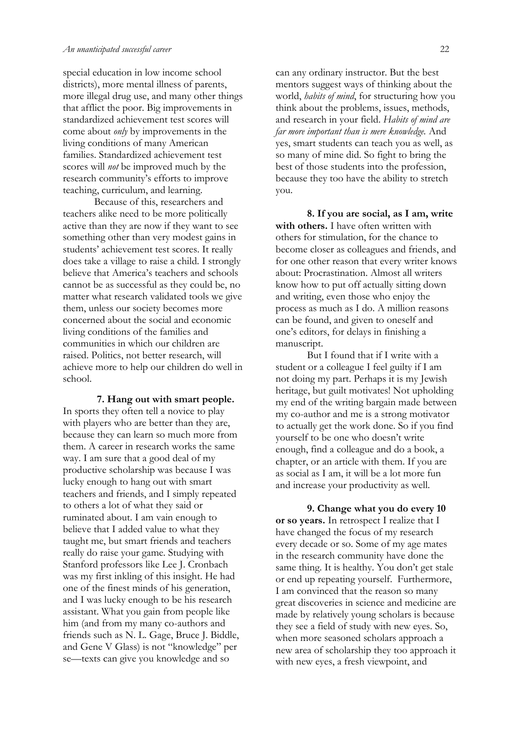special education in low income school districts), more mental illness of parents, more illegal drug use, and many other things that afflict the poor. Big improvements in standardized achievement test scores will come about *only* by improvements in the living conditions of many American families. Standardized achievement test scores will *not* be improved much by the research community's efforts to improve teaching, curriculum, and learning.

Because of this, researchers and teachers alike need to be more politically active than they are now if they want to see something other than very modest gains in students' achievement test scores. It really does take a village to raise a child. I strongly believe that America's teachers and schools cannot be as successful as they could be, no matter what research validated tools we give them, unless our society becomes more concerned about the social and economic living conditions of the families and communities in which our children are raised. Politics, not better research, will achieve more to help our children do well in school.

**7. Hang out with smart people.** In sports they often tell a novice to play with players who are better than they are, because they can learn so much more from them. A career in research works the same way. I am sure that a good deal of my productive scholarship was because I was lucky enough to hang out with smart teachers and friends, and I simply repeated to others a lot of what they said or ruminated about. I am vain enough to believe that I added value to what they taught me, but smart friends and teachers really do raise your game. Studying with Stanford professors like Lee J. Cronbach was my first inkling of this insight. He had one of the finest minds of his generation, and I was lucky enough to be his research assistant. What you gain from people like him (and from my many co-authors and friends such as N. L. Gage, Bruce J. Biddle, and Gene V Glass) is not "knowledge" per se—texts can give you knowledge and so

can any ordinary instructor. But the best mentors suggest ways of thinking about the world, *habits of mind*, for structuring how you think about the problems, issues, methods, and research in your field. *Habits of mind are far more important than is mere knowledge.* And yes, smart students can teach you as well, as so many of mine did. So fight to bring the best of those students into the profession, because they too have the ability to stretch you.

**8. If you are social, as I am, write with others.** I have often written with others for stimulation, for the chance to become closer as colleagues and friends, and for one other reason that every writer knows about: Procrastination. Almost all writers know how to put off actually sitting down and writing, even those who enjoy the process as much as I do. A million reasons can be found, and given to oneself and one's editors, for delays in finishing a manuscript.

But I found that if I write with a student or a colleague I feel guilty if I am not doing my part. Perhaps it is my Jewish heritage, but guilt motivates! Not upholding my end of the writing bargain made between my co-author and me is a strong motivator to actually get the work done. So if you find yourself to be one who doesn't write enough, find a colleague and do a book, a chapter, or an article with them. If you are as social as I am, it will be a lot more fun and increase your productivity as well.

**9. Change what you do every 10 or so years.** In retrospect I realize that I have changed the focus of my research every decade or so. Some of my age mates in the research community have done the same thing. It is healthy. You don't get stale or end up repeating yourself. Furthermore, I am convinced that the reason so many great discoveries in science and medicine are made by relatively young scholars is because they see a field of study with new eyes. So, when more seasoned scholars approach a new area of scholarship they too approach it with new eyes, a fresh viewpoint, and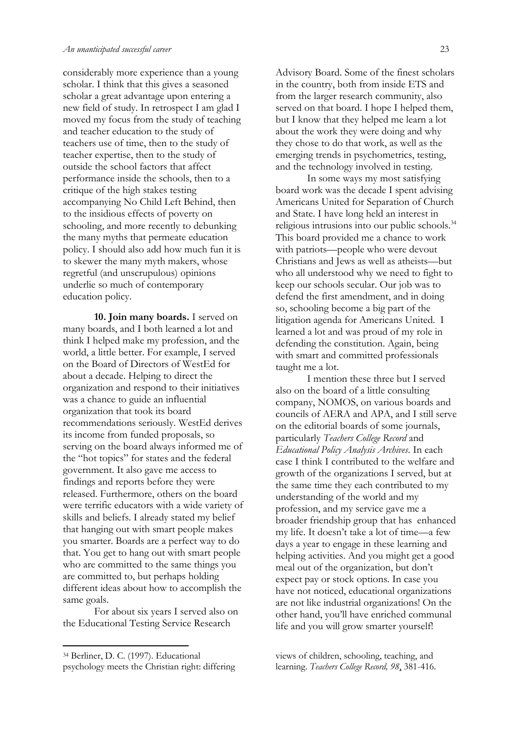considerably more experience than a young scholar. I think that this gives a seasoned scholar a great advantage upon entering a new field of study. In retrospect I am glad I moved my focus from the study of teaching and teacher education to the study of teachers use of time, then to the study of teacher expertise, then to the study of outside the school factors that affect performance inside the schools, then to a critique of the high stakes testing accompanying No Child Left Behind, then to the insidious effects of poverty on schooling, and more recently to debunking the many myths that permeate education policy. I should also add how much fun it is to skewer the many myth makers, whose regretful (and unscrupulous) opinions underlie so much of contemporary education policy.

**10. Join many boards.** I served on many boards, and I both learned a lot and think I helped make my profession, and the world, a little better. For example, I served on the Board of Directors of WestEd for about a decade. Helping to direct the organization and respond to their initiatives was a chance to guide an influential organization that took its board recommendations seriously. WestEd derives its income from funded proposals, so serving on the board always informed me of the "hot topics" for states and the federal government. It also gave me access to findings and reports before they were released. Furthermore, others on the board were terrific educators with a wide variety of skills and beliefs. I already stated my belief that hanging out with smart people makes you smarter. Boards are a perfect way to do that. You get to hang out with smart people who are committed to the same things you are committed to, but perhaps holding different ideas about how to accomplish the same goals.

For about six years I served also on the Educational Testing Service Research

Advisory Board. Some of the finest scholars in the country, both from inside ETS and from the larger research community, also served on that board. I hope I helped them, but I know that they helped me learn a lot about the work they were doing and why they chose to do that work, as well as the emerging trends in psychometrics, testing, and the technology involved in testing.

In some ways my most satisfying board work was the decade I spent advising Americans United for Separation of Church and State. I have long held an interest in religious intrusions into our public schools.<sup>34</sup> This board provided me a chance to work with patriots—people who were devout Christians and Jews as well as atheists—but who all understood why we need to fight to keep our schools secular. Our job was to defend the first amendment, and in doing so, schooling become a big part of the litigation agenda for Americans United. I learned a lot and was proud of my role in defending the constitution. Again, being with smart and committed professionals taught me a lot.

I mention these three but I served also on the board of a little consulting company, NOMOS, on various boards and councils of AERA and APA, and I still serve on the editorial boards of some journals, particularly *Teachers College Record* and *Educational Policy Analysis Archives*. In each case I think I contributed to the welfare and growth of the organizations I served, but at the same time they each contributed to my understanding of the world and my profession, and my service gave me a broader friendship group that has enhanced my life. It doesn't take a lot of time—a few days a year to engage in these learning and helping activities. And you might get a good meal out of the organization, but don't expect pay or stock options. In case you have not noticed, educational organizations are not like industrial organizations! On the other hand, you'll have enriched communal life and you will grow smarter yourself!

views of children, schooling, teaching, and learning. *Teachers College Record, 98*, 381-416.

<sup>34</sup> Berliner, D. C. (1997). Educational psychology meets the Christian right: differing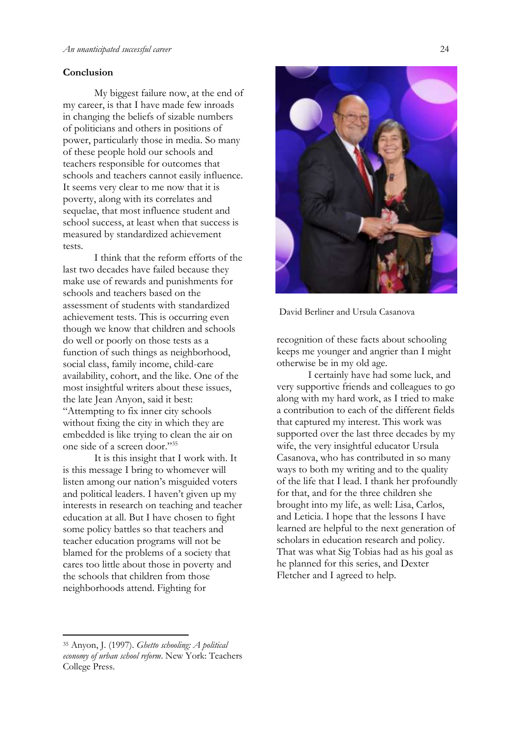#### **Conclusion**

My biggest failure now, at the end of my career, is that I have made few inroads in changing the beliefs of sizable numbers of politicians and others in positions of power, particularly those in media. So many of these people hold our schools and teachers responsible for outcomes that schools and teachers cannot easily influence. It seems very clear to me now that it is poverty, along with its correlates and sequelae, that most influence student and school success, at least when that success is measured by standardized achievement tests.

I think that the reform efforts of the last two decades have failed because they make use of rewards and punishments for schools and teachers based on the assessment of students with standardized achievement tests. This is occurring even though we know that children and schools do well or poorly on those tests as a function of such things as neighborhood, social class, family income, child-care availability, cohort, and the like. One of the most insightful writers about these issues, the late Jean Anyon, said it best: "Attempting to fix inner city schools without fixing the city in which they are embedded is like trying to clean the air on one side of a screen door."<sup>35</sup>

It is this insight that I work with. It is this message I bring to whomever will listen among our nation's misguided voters and political leaders. I haven't given up my interests in research on teaching and teacher education at all. But I have chosen to fight some policy battles so that teachers and teacher education programs will not be blamed for the problems of a society that cares too little about those in poverty and the schools that children from those neighborhoods attend. Fighting for



David Berliner and Ursula Casanova

recognition of these facts about schooling keeps me younger and angrier than I might otherwise be in my old age.

I certainly have had some luck, and very supportive friends and colleagues to go along with my hard work, as I tried to make a contribution to each of the different fields that captured my interest. This work was supported over the last three decades by my wife, the very insightful educator Ursula Casanova, who has contributed in so many ways to both my writing and to the quality of the life that I lead. I thank her profoundly for that, and for the three children she brought into my life, as well: Lisa, Carlos, and Leticia. I hope that the lessons I have learned are helpful to the next generation of scholars in education research and policy. That was what Sig Tobias had as his goal as he planned for this series, and Dexter Fletcher and I agreed to help.

<sup>35</sup> Anyon, J. (1997). *Ghetto schooling: A political economy of urban school reform*. New York: Teachers College Press.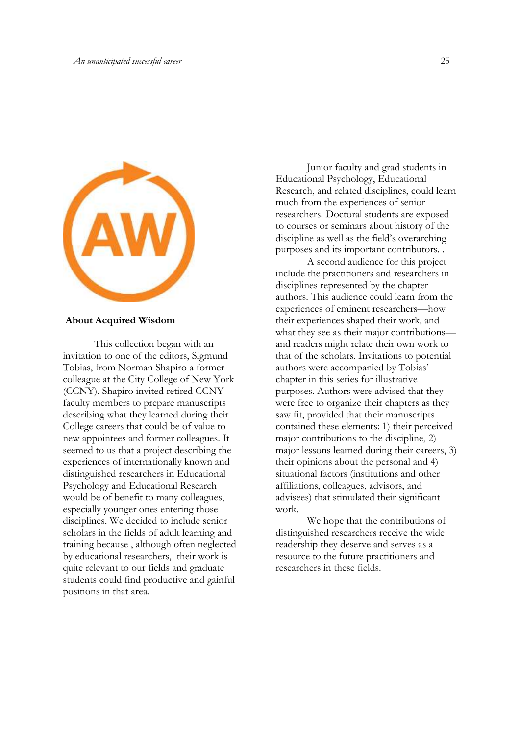

#### **About Acquired Wisdom**

This collection began with an invitation to one of the editors, Sigmund Tobias, from Norman Shapiro a former colleague at the City College of New York (CCNY). Shapiro invited retired CCNY faculty members to prepare manuscripts describing what they learned during their College careers that could be of value to new appointees and former colleagues. It seemed to us that a project describing the experiences of internationally known and distinguished researchers in Educational Psychology and Educational Research would be of benefit to many colleagues, especially younger ones entering those disciplines. We decided to include senior scholars in the fields of adult learning and training because , although often neglected by educational researchers, their work is quite relevant to our fields and graduate students could find productive and gainful positions in that area.

Junior faculty and grad students in Educational Psychology, Educational Research, and related disciplines, could learn much from the experiences of senior researchers. Doctoral students are exposed to courses or seminars about history of the discipline as well as the field's overarching purposes and its important contributors. .

A second audience for this project include the practitioners and researchers in disciplines represented by the chapter authors. This audience could learn from the experiences of eminent researchers—how their experiences shaped their work, and what they see as their major contributions and readers might relate their own work to that of the scholars. Invitations to potential authors were accompanied by Tobias' chapter in this series for illustrative purposes. Authors were advised that they were free to organize their chapters as they saw fit, provided that their manuscripts contained these elements: 1) their perceived major contributions to the discipline, 2) major lessons learned during their careers, 3) their opinions about the personal and 4) situational factors (institutions and other affiliations, colleagues, advisors, and advisees) that stimulated their significant work.

We hope that the contributions of distinguished researchers receive the wide readership they deserve and serves as a resource to the future practitioners and researchers in these fields.